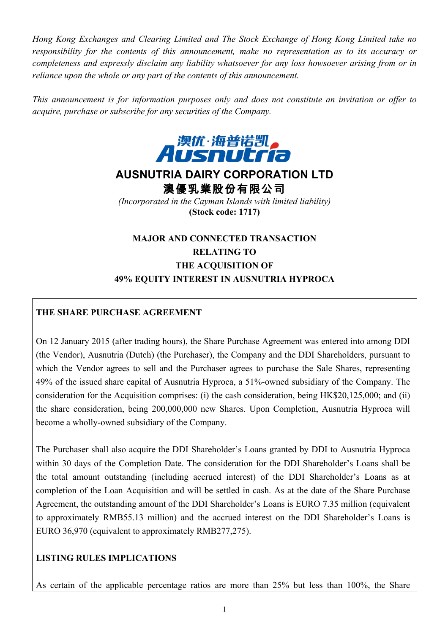*Hong Kong Exchanges and Clearing Limited and The Stock Exchange of Hong Kong Limited take no responsibility for the contents of this announcement, make no representation as to its accuracy or completeness and expressly disclaim any liability whatsoever for any loss howsoever arising from or in reliance upon the whole or any part of the contents of this announcement.*

*This announcement is for information purposes only and does not constitute an invitation or offer to acquire, purchase or subscribe for any securities of the Company.*



# **AUSNUTRIA DAIRY CORPORATION LTD**

澳優乳業股份有限公司

*(Incorporated in the Cayman Islands with limited liability)* **(Stock code: 1717)**

# **MAJOR AND CONNECTED TRANSACTION RELATING TO THE ACQUISITION OF 49% EQUITY INTEREST IN AUSNUTRIA HYPROCA**

# **THE SHARE PURCHASE AGREEMENT**

On 12 January 2015 (after trading hours), the Share Purchase Agreement was entered into among DDI (the Vendor), Ausnutria (Dutch) (the Purchaser), the Company and the DDI Shareholders, pursuant to which the Vendor agrees to sell and the Purchaser agrees to purchase the Sale Shares, representing 49% of the issued share capital of Ausnutria Hyproca, a 51%-owned subsidiary of the Company. The consideration for the Acquisition comprises: (i) the cash consideration, being HK\$20,125,000; and (ii) the share consideration, being 200,000,000 new Shares. Upon Completion, Ausnutria Hyproca will become a wholly-owned subsidiary of the Company.

The Purchaser shall also acquire the DDI Shareholder's Loans granted by DDI to Ausnutria Hyproca within 30 days of the Completion Date. The consideration for the DDI Shareholder's Loans shall be the total amount outstanding (including accrued interest) of the DDI Shareholder's Loans as at completion of the Loan Acquisition and will be settled in cash. As at the date of the Share Purchase Agreement, the outstanding amount of the DDI Shareholder's Loans is EURO 7.35 million (equivalent to approximately RMB55.13 million) and the accrued interest on the DDI Shareholder's Loans is EURO 36,970 (equivalent to approximately RMB277,275).

## **LISTING RULES IMPLICATIONS**

As certain of the applicable percentage ratios are more than 25% but less than 100%, the Share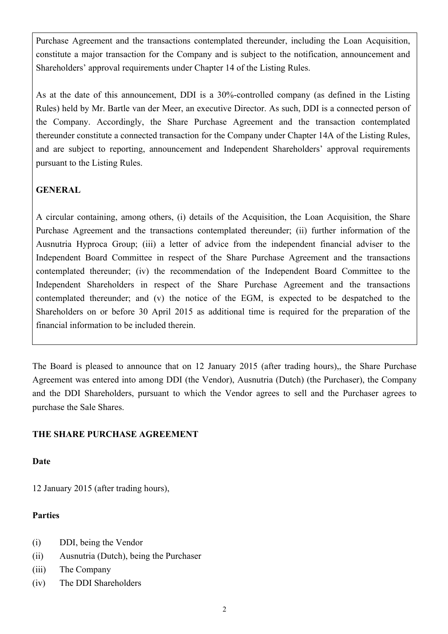Purchase Agreement and the transactions contemplated thereunder, including the Loan Acquisition, constitute a major transaction for the Company and is subject to the notification, announcement and Shareholders' approval requirements under Chapter 14 of the Listing Rules.

As at the date of this announcement, DDI is a 30%-controlled company (as defined in the Listing Rules) held by Mr. Bartle van der Meer, an executive Director. As such, DDI is a connected person of the Company. Accordingly, the Share Purchase Agreement and the transaction contemplated thereunder constitute a connected transaction for the Company under Chapter 14A of the Listing Rules, and are subject to reporting, announcement and Independent Shareholders' approval requirements pursuant to the Listing Rules.

## **GENERAL**

A circular containing, among others, (i) details of the Acquisition, the Loan Acquisition, the Share Purchase Agreement and the transactions contemplated thereunder; (ii) further information of the Ausnutria Hyproca Group; (iii) a letter of advice from the independent financial adviser to the Independent Board Committee in respect of the Share Purchase Agreement and the transactions contemplated thereunder; (iv) the recommendation of the Independent Board Committee to the Independent Shareholders in respect of the Share Purchase Agreement and the transactions contemplated thereunder; and (v) the notice of the EGM, is expected to be despatched to the Shareholders on or before 30 April 2015 as additional time is required for the preparation of the financial information to be included therein.

The Board is pleased to announce that on 12 January 2015 (after trading hours),, the Share Purchase Agreement was entered into among DDI (the Vendor), Ausnutria (Dutch) (the Purchaser), the Company and the DDI Shareholders, pursuant to which the Vendor agrees to sell and the Purchaser agrees to purchase the Sale Shares.

#### **THE SHARE PURCHASE AGREEMENT**

**Date**

12 January 2015 (after trading hours),

## **Parties**

- (i) DDI, being the Vendor
- (ii) Ausnutria (Dutch), being the Purchaser
- (iii) The Company
- (iv) The DDI Shareholders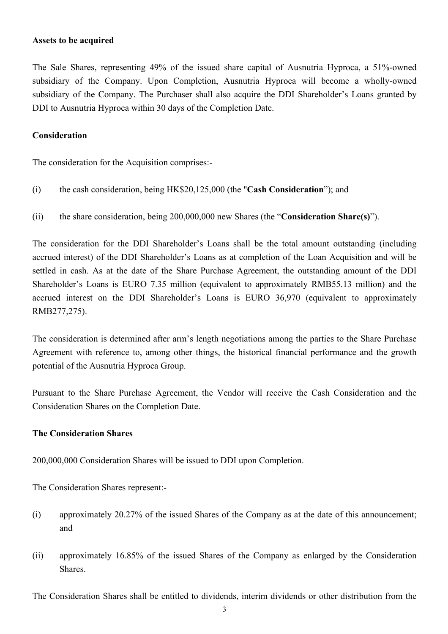#### **Assets to be acquired**

The Sale Shares, representing 49% of the issued share capital of Ausnutria Hyproca, a 51%-owned subsidiary of the Company. Upon Completion, Ausnutria Hyproca will become a wholly-owned subsidiary of the Company. The Purchaser shall also acquire the DDI Shareholder's Loans granted by DDI to Ausnutria Hyproca within 30 days of the Completion Date.

#### **Consideration**

The consideration for the Acquisition comprises:-

- (i) the cash consideration, being HK\$20,125,000 (the "**Cash Consideration**"); and
- (ii) the share consideration, being 200,000,000 new Shares (the "**Consideration Share(s)**").

The consideration for the DDI Shareholder's Loans shall be the total amount outstanding (including accrued interest) of the DDI Shareholder's Loans as at completion of the Loan Acquisition and will be settled in cash. As at the date of the Share Purchase Agreement, the outstanding amount of the DDI Shareholder's Loans is EURO 7.35 million (equivalent to approximately RMB55.13 million) and the accrued interest on the DDI Shareholder's Loans is EURO 36,970 (equivalent to approximately RMB277,275).

The consideration is determined after arm's length negotiations among the parties to the Share Purchase Agreement with reference to, among other things, the historical financial performance and the growth potential of the Ausnutria Hyproca Group.

Pursuant to the Share Purchase Agreement, the Vendor will receive the Cash Consideration and the Consideration Shares on the Completion Date.

#### **The Consideration Shares**

200,000,000 Consideration Shares will be issued to DDI upon Completion.

The Consideration Shares represent:-

- (i) approximately 20.27% of the issued Shares of the Company as at the date of this announcement; and
- (ii) approximately 16.85% of the issued Shares of the Company as enlarged by the Consideration Shares.

The Consideration Shares shall be entitled to dividends, interim dividends or other distribution from the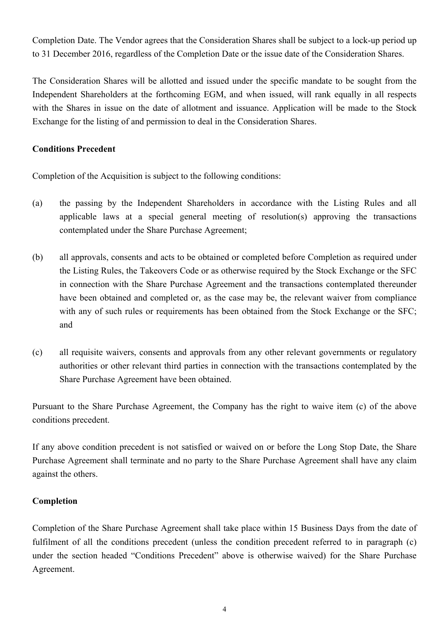Completion Date. The Vendor agrees that the Consideration Shares shall be subject to a lock-up period up to 31 December 2016, regardless of the Completion Date or the issue date of the Consideration Shares.

The Consideration Shares will be allotted and issued under the specific mandate to be sought from the Independent Shareholders at the forthcoming EGM, and when issued, will rank equally in all respects with the Shares in issue on the date of allotment and issuance. Application will be made to the Stock Exchange for the listing of and permission to deal in the Consideration Shares.

#### **Conditions Precedent**

Completion of the Acquisition is subject to the following conditions:

- (a) the passing by the Independent Shareholders in accordance with the Listing Rules and all applicable laws at a special general meeting of resolution(s) approving the transactions contemplated under the Share Purchase Agreement;
- (b) all approvals, consents and acts to be obtained or completed before Completion as required under the Listing Rules, the Takeovers Code or as otherwise required by the Stock Exchange or the SFC in connection with the Share Purchase Agreement and the transactions contemplated thereunder have been obtained and completed or, as the case may be, the relevant waiver from compliance with any of such rules or requirements has been obtained from the Stock Exchange or the SFC; and
- (c) all requisite waivers, consents and approvals from any other relevant governments or regulatory authorities or other relevant third parties in connection with the transactions contemplated by the Share Purchase Agreement have been obtained.

Pursuant to the Share Purchase Agreement, the Company has the right to waive item (c) of the above conditions precedent.

If any above condition precedent is not satisfied or waived on or before the Long Stop Date, the Share Purchase Agreement shall terminate and no party to the Share Purchase Agreement shall have any claim against the others.

#### **Completion**

Completion of the Share Purchase Agreement shall take place within 15 Business Days from the date of fulfilment of all the conditions precedent (unless the condition precedent referred to in paragraph (c) under the section headed "Conditions Precedent" above is otherwise waived) for the Share Purchase Agreement.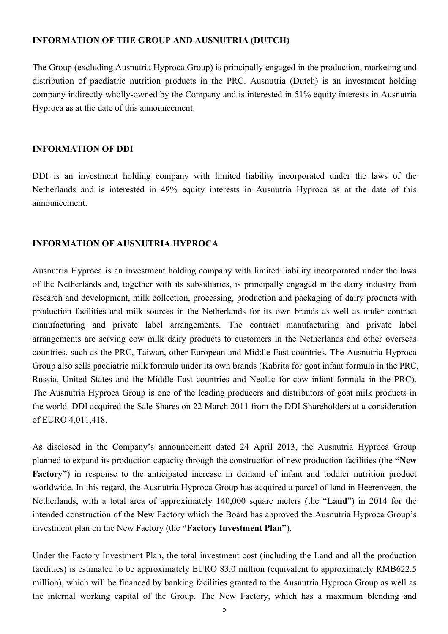#### **INFORMATION OF THE GROUP AND AUSNUTRIA (DUTCH)**

The Group (excluding Ausnutria Hyproca Group) is principally engaged in the production, marketing and distribution of paediatric nutrition products in the PRC. Ausnutria (Dutch) is an investment holding company indirectly wholly-owned by the Company and is interested in 51% equity interests in Ausnutria Hyproca as at the date of this announcement.

#### **INFORMATION OF DDI**

DDI is an investment holding company with limited liability incorporated under the laws of the Netherlands and is interested in 49% equity interests in Ausnutria Hyproca as at the date of this announcement.

#### **INFORMATION OF AUSNUTRIA HYPROCA**

Ausnutria Hyproca is an investment holding company with limited liability incorporated under the laws of the Netherlands and, together with its subsidiaries, is principally engaged in the dairy industry from research and development, milk collection, processing, production and packaging of dairy products with production facilities and milk sources in the Netherlands for its own brands as well as under contract manufacturing and private label arrangements. The contract manufacturing and private label arrangements are serving cow milk dairy products to customers in the Netherlands and other overseas countries, such as the PRC, Taiwan, other European and Middle East countries. The Ausnutria Hyproca Group also sells paediatric milk formula under its own brands (Kabrita for goat infant formula in the PRC, Russia, United States and the Middle East countries and Neolac for cow infant formula in the PRC). The Ausnutria Hyproca Group is one of the leading producers and distributors of goat milk products in the world. DDI acquired the Sale Shares on 22 March 2011 from the DDI Shareholders at a consideration of EURO 4,011,418.

As disclosed in the Company's announcement dated 24 April 2013, the Ausnutria Hyproca Group planned to expand its production capacity through the construction of new production facilities (the **"New Factory"**) in response to the anticipated increase in demand of infant and toddler nutrition product worldwide. In this regard, the Ausnutria Hyproca Group has acquired a parcel of land in Heerenveen, the Netherlands, with a total area of approximately 140,000 square meters (the "**Land**") in 2014 for the intended construction of the New Factory which the Board has approved the Ausnutria Hyproca Group's investment plan on the New Factory (the **"Factory Investment Plan"**).

Under the Factory Investment Plan, the total investment cost (including the Land and all the production facilities) is estimated to be approximately EURO 83.0 million (equivalent to approximately RMB622.5 million), which will be financed by banking facilities granted to the Ausnutria Hyproca Group as well as the internal working capital of the Group. The New Factory, which has a maximum blending and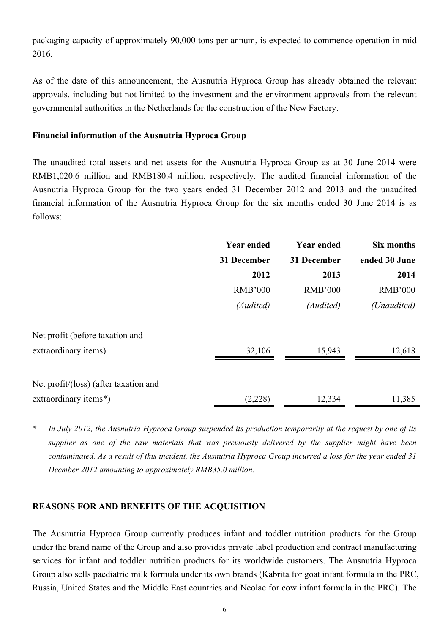packaging capacity of approximately 90,000 tons per annum, is expected to commence operation in mid 2016.

As of the date of this announcement, the Ausnutria Hyproca Group has already obtained the relevant approvals, including but not limited to the investment and the environment approvals from the relevant governmental authorities in the Netherlands for the construction of the New Factory.

#### **Financial information of the Ausnutria Hyproca Group**

The unaudited total assets and net assets for the Ausnutria Hyproca Group as at 30 June 2014 were RMB1,020.6 million and RMB180.4 million, respectively. The audited financial information of the Ausnutria Hyproca Group for the two years ended 31 December 2012 and 2013 and the unaudited financial information of the Ausnutria Hyproca Group for the six months ended 30 June 2014 is as follows:

|                                       | <b>Year ended</b> | <b>Year ended</b> | Six months     |
|---------------------------------------|-------------------|-------------------|----------------|
|                                       | 31 December       | 31 December       | ended 30 June  |
|                                       | 2012              | 2013              | 2014           |
|                                       | <b>RMB'000</b>    | <b>RMB'000</b>    | <b>RMB'000</b> |
|                                       | (Audited)         | (Audited)         | (Unaudited)    |
| Net profit (before taxation and       |                   |                   |                |
| extraordinary items)                  | 32,106            | 15,943            | 12,618         |
| Net profit/(loss) (after taxation and |                   |                   |                |
| extraordinary items*)                 | (2,228)           | 12,334            | 11,385         |

*<sup>\*</sup> In July 2012, the Ausnutria Hyproca Group suspended its production temporarily at the request by one of its supplier as one of the raw materials that was previously delivered by the supplier might have been contaminated. As a result of this incident, the Ausnutria Hyproca Group incurred a loss for the year ended 31 Decmber 2012 amounting to approximately RMB35.0 million.*

#### **REASONS FOR AND BENEFITS OF THE ACQUISITION**

The Ausnutria Hyproca Group currently produces infant and toddler nutrition products for the Group under the brand name of the Group and also provides private label production and contract manufacturing services for infant and toddler nutrition products for its worldwide customers. The Ausnutria Hyproca Group also sells paediatric milk formula under its own brands (Kabrita for goat infant formula in the PRC, Russia, United States and the Middle East countries and Neolac for cow infant formula in the PRC). The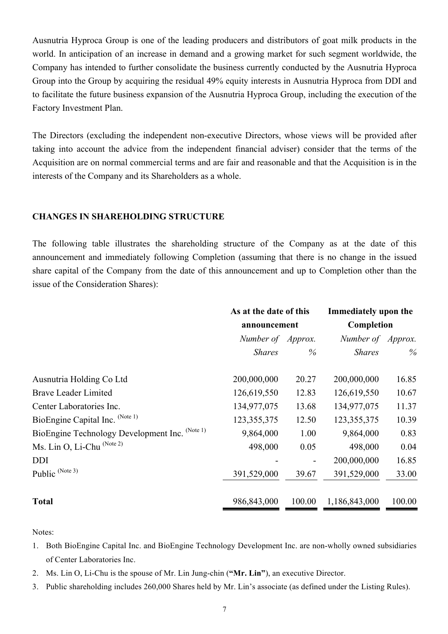Ausnutria Hyproca Group is one of the leading producers and distributors of goat milk products in the world. In anticipation of an increase in demand and a growing market for such segment worldwide, the Company has intended to further consolidate the business currently conducted by the Ausnutria Hyproca Group into the Group by acquiring the residual 49% equity interests in Ausnutria Hyproca from DDI and to facilitate the future business expansion of the Ausnutria Hyproca Group, including the execution of the Factory Investment Plan.

The Directors (excluding the independent non-executive Directors, whose views will be provided after taking into account the advice from the independent financial adviser) consider that the terms of the Acquisition are on normal commercial terms and are fair and reasonable and that the Acquisition is in the interests of the Company and its Shareholders as a whole.

#### **CHANGES IN SHAREHOLDING STRUCTURE**

The following table illustrates the shareholding structure of the Company as at the date of this announcement and immediately following Completion (assuming that there is no change in the issued share capital of the Company from the date of this announcement and up to Completion other than the issue of the Consideration Shares):

|                                                | As at the date of this<br>announcement |                              | Immediately upon the<br>Completion |        |
|------------------------------------------------|----------------------------------------|------------------------------|------------------------------------|--------|
|                                                |                                        |                              |                                    |        |
|                                                | Number of Approx.                      |                              | Number of Approx.                  |        |
|                                                | <b>Shares</b>                          | $\%$                         | <b>Shares</b>                      | $\%$   |
| Ausnutria Holding Co Ltd                       | 200,000,000                            | 20.27                        | 200,000,000                        | 16.85  |
| <b>Brave Leader Limited</b>                    | 126,619,550                            | 12.83                        | 126,619,550                        | 10.67  |
| Center Laboratories Inc.                       | 134,977,075                            | 13.68                        | 134,977,075                        | 11.37  |
| BioEngine Capital Inc. (Note 1)                | 123, 355, 375                          | 12.50                        | 123, 355, 375                      | 10.39  |
| BioEngine Technology Development Inc. (Note 1) | 9,864,000                              | 1.00                         | 9,864,000                          | 0.83   |
| Ms. Lin O, Li-Chu (Note 2)                     | 498,000                                | 0.05                         | 498,000                            | 0.04   |
| <b>DDI</b>                                     |                                        | $\qquad \qquad \blacksquare$ | 200,000,000                        | 16.85  |
| Public (Note 3)                                | 391,529,000                            | 39.67                        | 391,529,000                        | 33.00  |
| <b>Total</b>                                   | 986,843,000                            | 100.00                       | 1,186,843,000                      | 100.00 |

Notes:

- 1. Both BioEngine Capital Inc. and BioEngine Technology Development Inc. are non-wholly owned subsidiaries of Center Laboratories Inc.
- 2. Ms. Lin O, Li-Chu is the spouse of Mr. Lin Jung-chin (**"Mr. Lin"**), an executive Director.
- 3. Public shareholding includes 260,000 Shares held by Mr. Lin's associate (as defined under the Listing Rules).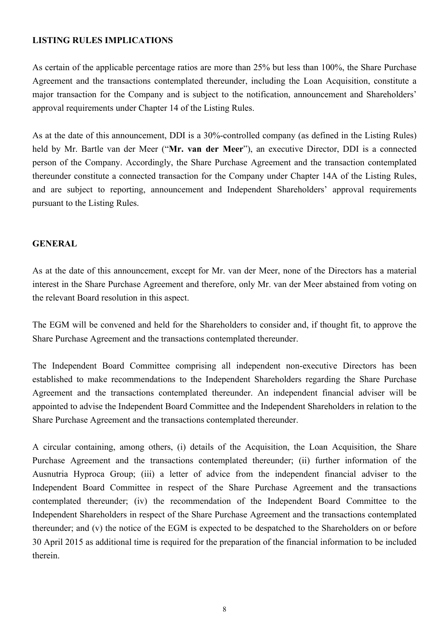#### **LISTING RULES IMPLICATIONS**

As certain of the applicable percentage ratios are more than 25% but less than 100%, the Share Purchase Agreement and the transactions contemplated thereunder, including the Loan Acquisition, constitute a major transaction for the Company and is subject to the notification, announcement and Shareholders' approval requirements under Chapter 14 of the Listing Rules.

As at the date of this announcement, DDI is a 30%-controlled company (as defined in the Listing Rules) held by Mr. Bartle van der Meer ("**Mr. van der Meer**"), an executive Director, DDI is a connected person of the Company. Accordingly, the Share Purchase Agreement and the transaction contemplated thereunder constitute a connected transaction for the Company under Chapter 14A of the Listing Rules, and are subject to reporting, announcement and Independent Shareholders' approval requirements pursuant to the Listing Rules.

#### **GENERAL**

As at the date of this announcement, except for Mr. van der Meer, none of the Directors has a material interest in the Share Purchase Agreement and therefore, only Mr. van der Meer abstained from voting on the relevant Board resolution in this aspect.

The EGM will be convened and held for the Shareholders to consider and, if thought fit, to approve the Share Purchase Agreement and the transactions contemplated thereunder.

The Independent Board Committee comprising all independent non-executive Directors has been established to make recommendations to the Independent Shareholders regarding the Share Purchase Agreement and the transactions contemplated thereunder. An independent financial adviser will be appointed to advise the Independent Board Committee and the Independent Shareholders in relation to the Share Purchase Agreement and the transactions contemplated thereunder.

A circular containing, among others, (i) details of the Acquisition, the Loan Acquisition, the Share Purchase Agreement and the transactions contemplated thereunder; (ii) further information of the Ausnutria Hyproca Group; (iii) a letter of advice from the independent financial adviser to the Independent Board Committee in respect of the Share Purchase Agreement and the transactions contemplated thereunder; (iv) the recommendation of the Independent Board Committee to the Independent Shareholders in respect of the Share Purchase Agreement and the transactions contemplated thereunder; and (v) the notice of the EGM is expected to be despatched to the Shareholders on or before 30 April 2015 as additional time is required for the preparation of the financial information to be included therein.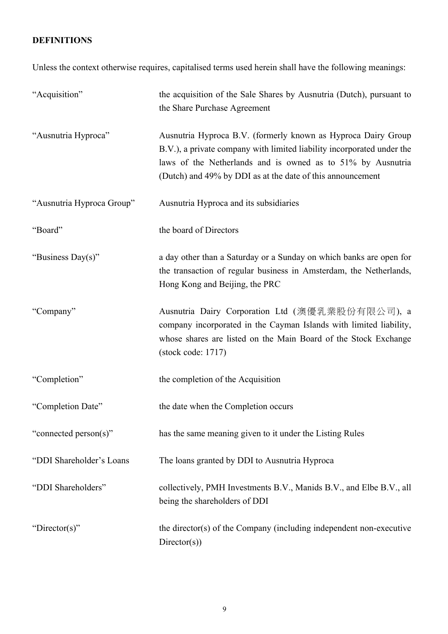# **DEFINITIONS**

Unless the context otherwise requires, capitalised terms used herein shall have the following meanings:

| "Acquisition"             | the acquisition of the Sale Shares by Ausnutria (Dutch), pursuant to<br>the Share Purchase Agreement                                                                                                                                                                 |
|---------------------------|----------------------------------------------------------------------------------------------------------------------------------------------------------------------------------------------------------------------------------------------------------------------|
| "Ausnutria Hyproca"       | Ausnutria Hyproca B.V. (formerly known as Hyproca Dairy Group<br>B.V.), a private company with limited liability incorporated under the<br>laws of the Netherlands and is owned as to 51% by Ausnutria<br>(Dutch) and 49% by DDI as at the date of this announcement |
| "Ausnutria Hyproca Group" | Ausnutria Hyproca and its subsidiaries                                                                                                                                                                                                                               |
| "Board"                   | the board of Directors                                                                                                                                                                                                                                               |
| "Business Day(s)"         | a day other than a Saturday or a Sunday on which banks are open for<br>the transaction of regular business in Amsterdam, the Netherlands,<br>Hong Kong and Beijing, the PRC                                                                                          |
| "Company"                 | Ausnutria Dairy Corporation Ltd (澳優乳業股份有限公司), a<br>company incorporated in the Cayman Islands with limited liability,<br>whose shares are listed on the Main Board of the Stock Exchange<br>$(\text{stock code}: 1717)$                                              |
| "Completion"              | the completion of the Acquisition                                                                                                                                                                                                                                    |
| "Completion Date"         | the date when the Completion occurs                                                                                                                                                                                                                                  |
| "connected person(s)"     | has the same meaning given to it under the Listing Rules                                                                                                                                                                                                             |
| "DDI Shareholder's Loans  | The loans granted by DDI to Ausnutria Hyproca                                                                                                                                                                                                                        |
| "DDI Shareholders"        | collectively, PMH Investments B.V., Manids B.V., and Elbe B.V., all<br>being the shareholders of DDI                                                                                                                                                                 |
| "Director(s)"             | the director(s) of the Company (including independent non-executive<br>Directory(s))                                                                                                                                                                                 |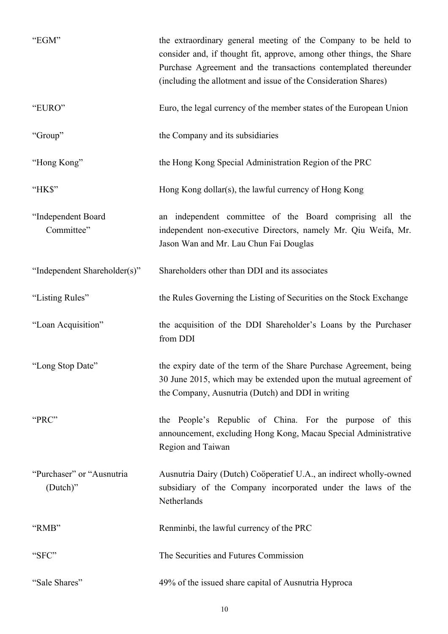| "EGM"                                 | the extraordinary general meeting of the Company to be held to<br>consider and, if thought fit, approve, among other things, the Share<br>Purchase Agreement and the transactions contemplated thereunder<br>(including the allotment and issue of the Consideration Shares) |
|---------------------------------------|------------------------------------------------------------------------------------------------------------------------------------------------------------------------------------------------------------------------------------------------------------------------------|
| "EURO"                                | Euro, the legal currency of the member states of the European Union                                                                                                                                                                                                          |
| "Group"                               | the Company and its subsidiaries                                                                                                                                                                                                                                             |
| "Hong Kong"                           | the Hong Kong Special Administration Region of the PRC                                                                                                                                                                                                                       |
| "HK\$"                                | Hong Kong dollar(s), the lawful currency of Hong Kong                                                                                                                                                                                                                        |
| "Independent Board<br>Committee"      | an independent committee of the Board comprising all the<br>independent non-executive Directors, namely Mr. Qiu Weifa, Mr.<br>Jason Wan and Mr. Lau Chun Fai Douglas                                                                                                         |
| "Independent Shareholder(s)"          | Shareholders other than DDI and its associates                                                                                                                                                                                                                               |
| "Listing Rules"                       | the Rules Governing the Listing of Securities on the Stock Exchange                                                                                                                                                                                                          |
| "Loan Acquisition"                    | the acquisition of the DDI Shareholder's Loans by the Purchaser<br>from DDI                                                                                                                                                                                                  |
| "Long Stop Date"                      | the expiry date of the term of the Share Purchase Agreement, being<br>30 June 2015, which may be extended upon the mutual agreement of<br>the Company, Ausnutria (Dutch) and DDI in writing                                                                                  |
| "PRC"                                 | the People's Republic of China. For the purpose of this<br>announcement, excluding Hong Kong, Macau Special Administrative<br>Region and Taiwan                                                                                                                              |
| "Purchaser" or "Ausnutria<br>(Dutch)" | Ausnutria Dairy (Dutch) Coöperatief U.A., an indirect wholly-owned<br>subsidiary of the Company incorporated under the laws of the<br>Netherlands                                                                                                                            |
| "RMB"                                 | Renminbi, the lawful currency of the PRC                                                                                                                                                                                                                                     |
| "SFC"                                 | The Securities and Futures Commission                                                                                                                                                                                                                                        |
| "Sale Shares"                         | 49% of the issued share capital of Ausnutria Hyproca                                                                                                                                                                                                                         |